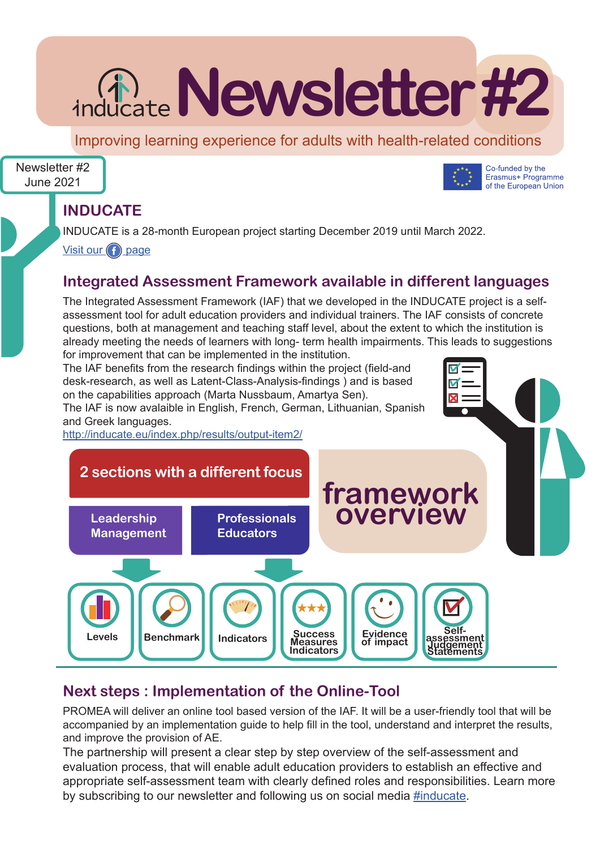# **inducate Newsletter #2**

Improving learning experience for adults with health-related conditions

Co-funded by the Erasmus+ Programme of the European Union

M M X

## Newsletter #2 June 2021



INDUCATE is a 28-month European project starting December 2019 until March 2022.

Visit our  $\bigcap$  page

## **Integrated Assessment Framework available in different languages**

The Integrated Assessment Framework (IAF) that we developed in the INDUCATE project is a selfassessment tool for adult education providers and individual trainers. The IAF consists of concrete questions, both at management and teaching staff level, about the extent to which the institution is already meeting the needs of learners with long- term health impairments. This leads to suggestions for improvement that can be implemented in the institution.

The IAF benefits from the research findings within the project (field-and desk-research, as well as Latent-Class-Analysis-findings ) and is based on the capabilities approach (Marta Nussbaum, Amartya Sen).

The IAF is now avalaible in English, French, German, Lithuanian, Spanish and Greek languages.

http://inducate.eu/index.php/results/output-item2/



# **Next steps : Implementation of the Online-Tool**

PROMEA will deliver an online tool based version of the IAF. It will be a user-friendly tool that will be accompanied by an implementation guide to help fill in the tool, understand and interpret the results, and improve the provision of AE.

The partnership will present a clear step by step overview of the self-assessment and evaluation process, that will enable adult education providers to establish an effective and appropriate self-assessment team with clearly defined roles and responsibilities. Learn more by subscribing to our newsletter and following us on social media #inducate.